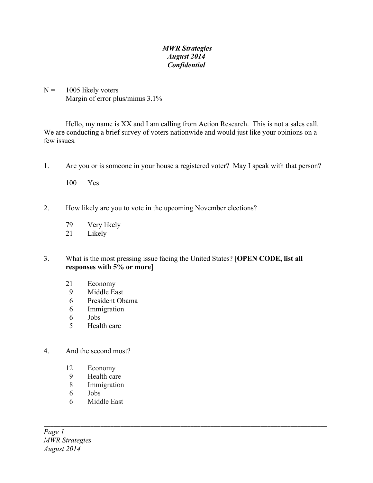## *MWR Strategies August 2014 Confidential*

 $N = 1005$  likely voters Margin of error plus/minus 3.1%

Hello, my name is XX and I am calling from Action Research. This is not a sales call. We are conducting a brief survey of voters nationwide and would just like your opinions on a few issues.

- 1. Are you or is someone in your house a registered voter? May I speak with that person?
	- 100 Yes
- 2. How likely are you to vote in the upcoming November elections?
	- 79 Very likely
	- 21 Likely
- 3. What is the most pressing issue facing the United States? [**OPEN CODE, list all responses with 5% or more**]

\_\_\_\_\_\_\_\_\_\_\_\_\_\_\_\_\_\_\_\_\_\_\_\_\_\_\_\_\_\_\_\_\_\_\_\_\_\_\_\_\_\_\_\_\_\_\_\_\_\_\_\_\_\_\_\_\_\_\_\_\_\_\_\_\_\_\_\_\_\_\_\_\_\_\_\_\_\_\_\_\_\_\_\_\_

- 21 Economy
- 9 Middle East
- 6 President Obama
- 6 Immigration
- 6 Jobs
- 5 Health care
- 4. And the second most?
	- 12 Economy
	- 9 Health care
	- 8 Immigration
	- 6 Jobs
	- 6 Middle East

*Page 1 MWR Strategies August 2014*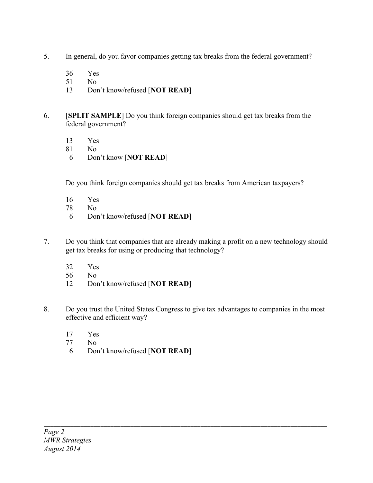- 5. In general, do you favor companies getting tax breaks from the federal government?
	- 36 Yes
	- 51 No
	- 13 Don't know/refused [**NOT READ**]
- 6. [**SPLIT SAMPLE**] Do you think foreign companies should get tax breaks from the federal government?
	- 13 Yes
	- 81 No
	- 6 Don't know [**NOT READ**]

Do you think foreign companies should get tax breaks from American taxpayers?

- 16 Yes
- 78 No
- 6 Don't know/refused [**NOT READ**]
- 7. Do you think that companies that are already making a profit on a new technology should get tax breaks for using or producing that technology?
	- 32 Yes
	- 56 No
	- 12 Don't know/refused [**NOT READ**]
- 8. Do you trust the United States Congress to give tax advantages to companies in the most effective and efficient way?

- 17 Yes<br>77 No
- $N<sub>0</sub>$
- 6 Don't know/refused [**NOT READ**]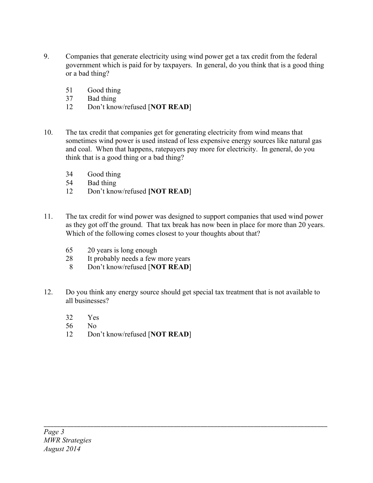- 9. Companies that generate electricity using wind power get a tax credit from the federal government which is paid for by taxpayers. In general, do you think that is a good thing or a bad thing?
	- 51 Good thing
	- 37 Bad thing
	- 12 Don't know/refused [**NOT READ**]
- 10. The tax credit that companies get for generating electricity from wind means that sometimes wind power is used instead of less expensive energy sources like natural gas and coal. When that happens, ratepayers pay more for electricity. In general, do you think that is a good thing or a bad thing?
	- 34 Good thing
	- 54 Bad thing
	- 12 Don't know/refused **[NOT READ**]
- 11. The tax credit for wind power was designed to support companies that used wind power as they got off the ground. That tax break has now been in place for more than 20 years. Which of the following comes closest to your thoughts about that?
	- 65 20 years is long enough
	- 28 It probably needs a few more years
	- 8 Don't know/refused [**NOT READ**]
- 12. Do you think any energy source should get special tax treatment that is not available to all businesses?

- 32 Yes
- 56 No
- 12 Don't know/refused [**NOT READ**]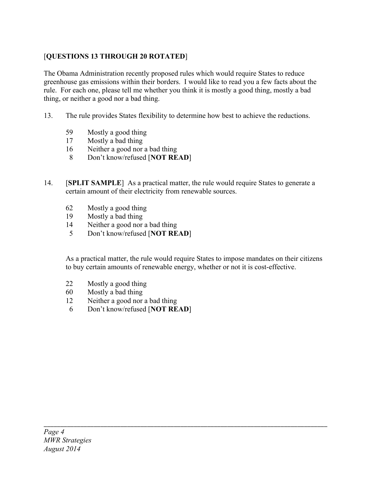## [**QUESTIONS 13 THROUGH 20 ROTATED**]

The Obama Administration recently proposed rules which would require States to reduce greenhouse gas emissions within their borders. I would like to read you a few facts about the rule. For each one, please tell me whether you think it is mostly a good thing, mostly a bad thing, or neither a good nor a bad thing.

- 13. The rule provides States flexibility to determine how best to achieve the reductions.
	- 59 Mostly a good thing
	- 17 Mostly a bad thing
	- 16 Neither a good nor a bad thing
	- 8 Don't know/refused [**NOT READ**]
- 14. [**SPLIT SAMPLE**] As a practical matter, the rule would require States to generate a certain amount of their electricity from renewable sources.
	- 62 Mostly a good thing
	- 19 Mostly a bad thing
	- 14 Neither a good nor a bad thing
	- 5 Don't know/refused [**NOT READ**]

As a practical matter, the rule would require States to impose mandates on their citizens to buy certain amounts of renewable energy, whether or not it is cost-effective.

- 22 Mostly a good thing
- 60 Mostly a bad thing
- 12 Neither a good nor a bad thing
- 6 Don't know/refused [**NOT READ**]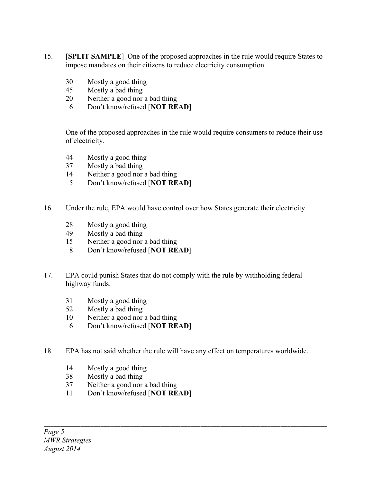- 15. [**SPLIT SAMPLE**] One of the proposed approaches in the rule would require States to impose mandates on their citizens to reduce electricity consumption.
	- Mostly a good thing
	- Mostly a bad thing
	- Neither a good nor a bad thing
	- Don't know/refused [**NOT READ**]

One of the proposed approaches in the rule would require consumers to reduce their use of electricity.

- Mostly a good thing
- Mostly a bad thing
- Neither a good nor a bad thing
- Don't know/refused [**NOT READ**]
- 16. Under the rule, EPA would have control over how States generate their electricity.
	- Mostly a good thing
	- Mostly a bad thing
	- Neither a good nor a bad thing
	- Don't know/refused [**NOT READ]**
- 17. EPA could punish States that do not comply with the rule by withholding federal highway funds.
	- Mostly a good thing
	- Mostly a bad thing
	- Neither a good nor a bad thing
	- Don't know/refused [**NOT READ**]
- 18. EPA has not said whether the rule will have any effect on temperatures worldwide.

- Mostly a good thing
- Mostly a bad thing
- Neither a good nor a bad thing
- Don't know/refused [**NOT READ**]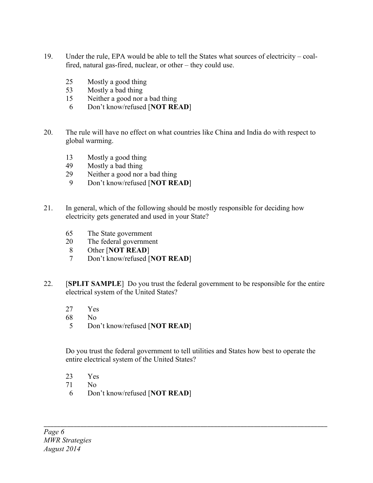- 19. Under the rule, EPA would be able to tell the States what sources of electricity coalfired, natural gas-fired, nuclear, or other – they could use.
	- 25 Mostly a good thing
	- 53 Mostly a bad thing
	- 15 Neither a good nor a bad thing
	- 6 Don't know/refused [**NOT READ**]
- 20. The rule will have no effect on what countries like China and India do with respect to global warming.
	- 13 Mostly a good thing
	- 49 Mostly a bad thing
	- 29 Neither a good nor a bad thing
	- 9 Don't know/refused [**NOT READ**]
- 21. In general, which of the following should be mostly responsible for deciding how electricity gets generated and used in your State?
	- 65 The State government
	- 20 The federal government
	- 8 Other [**NOT READ**]
	- 7 Don't know/refused [**NOT READ**]
- 22. [**SPLIT SAMPLE**] Do you trust the federal government to be responsible for the entire electrical system of the United States?
	- 27 Yes
	- 68 No
	- 5 Don't know/refused [**NOT READ**]

Do you trust the federal government to tell utilities and States how best to operate the entire electrical system of the United States?

- 23 Yes
- 71 No
- 6 Don't know/refused [**NOT READ**]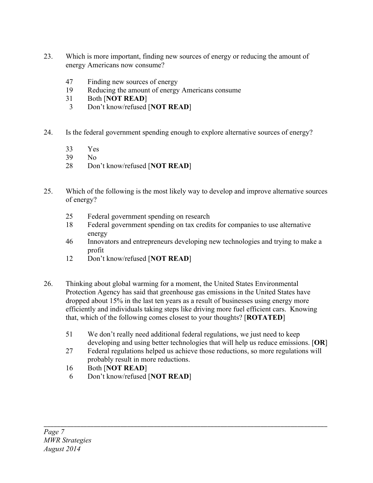- 23. Which is more important, finding new sources of energy or reducing the amount of energy Americans now consume?
	- 47 Finding new sources of energy
	- 19 Reducing the amount of energy Americans consume
	- 31 Both [**NOT READ**]
	- 3 Don't know/refused [**NOT READ**]
- 24. Is the federal government spending enough to explore alternative sources of energy?
	- 33 Yes
	- 39 No
	- 28 Don't know/refused [**NOT READ**]
- 25. Which of the following is the most likely way to develop and improve alternative sources of energy?
	- 25 Federal government spending on research
	- 18 Federal government spending on tax credits for companies to use alternative energy
	- 46 Innovators and entrepreneurs developing new technologies and trying to make a profit
	- 12 Don't know/refused [**NOT READ**]
- 26. Thinking about global warming for a moment, the United States Environmental Protection Agency has said that greenhouse gas emissions in the United States have dropped about 15% in the last ten years as a result of businesses using energy more efficiently and individuals taking steps like driving more fuel efficient cars. Knowing that, which of the following comes closest to your thoughts? [**ROTATED**]
	- 51 We don't really need additional federal regulations, we just need to keep developing and using better technologies that will help us reduce emissions. [**OR**]
	- 27 Federal regulations helped us achieve those reductions, so more regulations will probably result in more reductions.

- 16 Both [**NOT READ**]
- 6 Don't know/refused [**NOT READ**]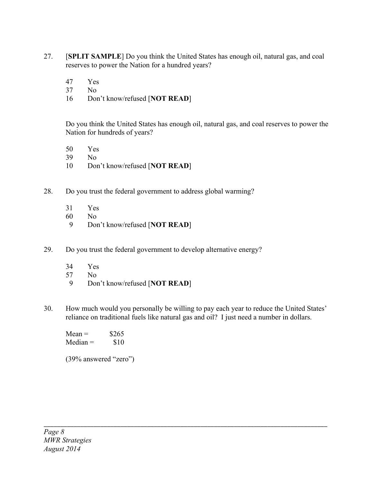- 27. [**SPLIT SAMPLE**] Do you think the United States has enough oil, natural gas, and coal reserves to power the Nation for a hundred years?
	- 47 Yes
	- 37 No
	- 16 Don't know/refused [**NOT READ**]

Do you think the United States has enough oil, natural gas, and coal reserves to power the Nation for hundreds of years?

- 50 Yes
- 39 No
- 10 Don't know/refused [**NOT READ**]
- 28. Do you trust the federal government to address global warming?
	- 31 Yes
	- 60 No
	- 9 Don't know/refused [**NOT READ**]
- 29. Do you trust the federal government to develop alternative energy?
	- 34 Yes
	- 57 No
	- 9 Don't know/refused [**NOT READ**]
- 30. How much would you personally be willing to pay each year to reduce the United States' reliance on traditional fuels like natural gas and oil? I just need a number in dollars.

\_\_\_\_\_\_\_\_\_\_\_\_\_\_\_\_\_\_\_\_\_\_\_\_\_\_\_\_\_\_\_\_\_\_\_\_\_\_\_\_\_\_\_\_\_\_\_\_\_\_\_\_\_\_\_\_\_\_\_\_\_\_\_\_\_\_\_\_\_\_\_\_\_\_\_\_\_\_\_\_\_\_\_\_\_

 $Mean =$  \$265  $Median =$  \$10

(39% answered "zero")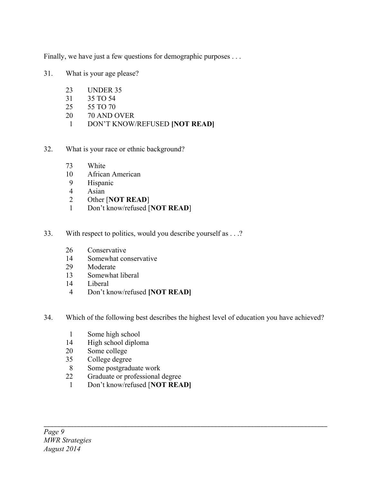Finally, we have just a few questions for demographic purposes . . .

- 31. What is your age please?
	- UNDER 35
	- 35 TO 54
	- 55 TO 70
	- 70 AND OVER
	- DON'T KNOW/REFUSED **[NOT READ]**
- 32. What is your race or ethnic background?
	- White
	- African American
	- Hispanic
	- Asian
	- Other [**NOT READ**]
	- Don't know/refused [**NOT READ**]
- 33. With respect to politics, would you describe yourself as . . .?
	- Conservative
	- Somewhat conservative
	- Moderate
	- Somewhat liberal
	- Liberal
	- Don't know/refused **[NOT READ]**
- 34. Which of the following best describes the highest level of education you have achieved?

- 
- 1 Some high school<br>14 High school diplor High school diploma
- Some college
- College degree
- Some postgraduate work
- Graduate or professional degree
- Don't know/refused [**NOT READ]**